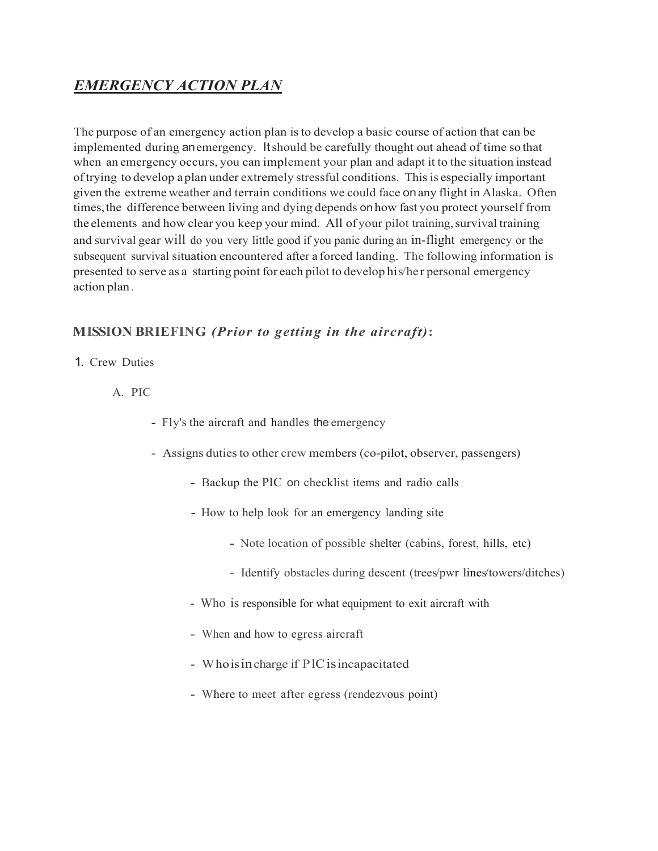## *EMERGENCY ACTION PLAN*

The purpose of an emergency action plan isto develop a basic course of action that can be implemented during anemergency. Itshould be carefully thought out ahead of time so that when an emergency occurs, you can implement your plan and adapt it to the situation instead oftrying to develop a plan under extremely stressful conditions. Thisis especially important given the extreme weather and terrain conditions we could face onany flight in Alaska. Often times,the difference between living and dying depends on how fast you protect yourself from the elements and how clear you keep your mind. All of your pilot training, survival training and survival gear will do you very little good if you panic during an in-flight emergency or the subsequent survival situation encountered after a forced landing. The following information is presented to serve as a starting point for each pilot to develop his/he r personal emergency action plan.

### **MISSION BRIEFING** *(Prior to getting in the aircraft)***:**

- 1. Crew Duties
	- A. PIC
		- Fly's the aircraft and handles the emergency
		- Assigns duties to other crew members (co-pilot, observer, passengers)
			- Backup the PIC on checklist items and radio calls
			- How to help look for an emergency landing site
				- Note location of possible shelter (cabins, forest, hills, etc)
				- Identify obstacles during descent (trees/pwr lines/towers/ditches)
			- Who is responsible for what equipment to exit aircraft with
			- When and how to egress aircraft
			- Whoisincharge if PlCisincapacitated
			- Where to meet after egress (rendezvous point)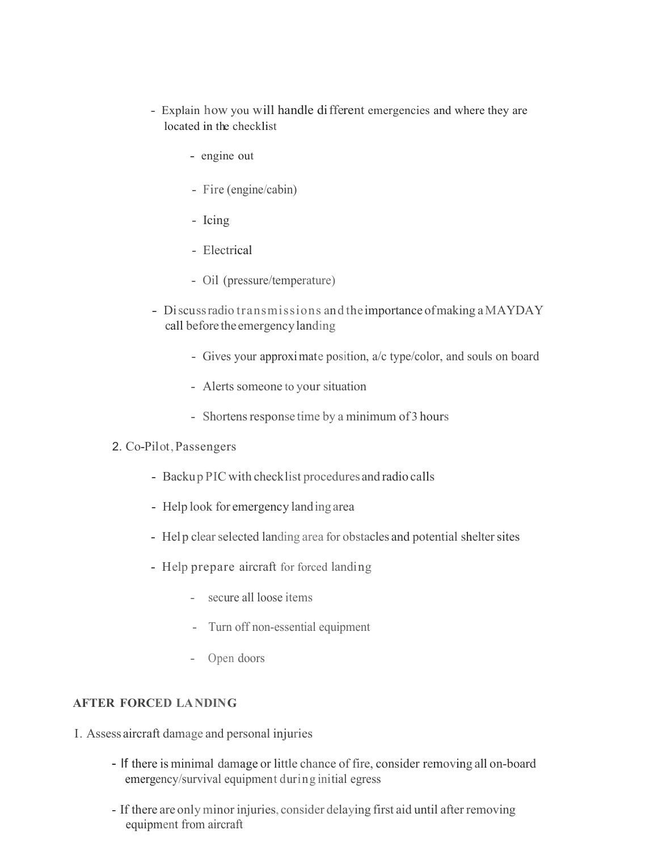- Explain how you will handle different emergencies and where they are located in the checklist
	- engine out
	- Fire (engine/cabin)
	- Icing
	- Electrical
	- Oil (pressure/temperature)
- Discuss radio transmissions and the importance of making a MAYDAY call before the emergencylanding
	- Gives your approximate position, a/c type/color, and souls on board
	- Alerts someone to your situation
	- Shortens response time by a minimum of 3 hours
- 2. Co-Pilot,Passengers
	- Backup PIC with checklist procedures and radio calls
	- Help look for emergency landing area
	- Help clear selected landing area for obstacles and potential shelter sites
	- Help prepare aircraft for forced landing
		- secure all loose items
		- Turn off non-essential equipment
		- Open doors

#### **AFTER FORCED LANDING**

- I. Assess aircraft damage and personal injuries
	- If there is minimal damage or little chance of fire, consider removing all on-board emergency/survival equipment during initial egress
	- If there are only minor injuries, consider delaying first aid until after removing equipment from aircraft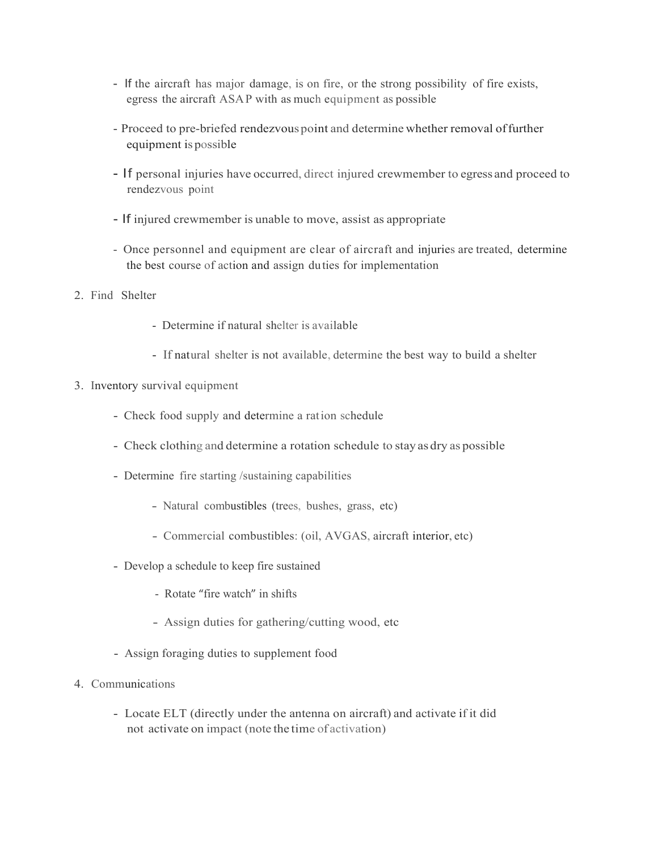- If the aircraft has major damage, is on fire, or the strong possibility of fire exists, egress the aircraft ASAP with as much equipment as possible
- Proceed to pre-briefed rendezvouspoint and determine whether removal offurther equipment is possible
- If personal injuries have occurred, direct injured crewmember to egress and proceed to rendezvous point
- If injured crewmember is unable to move, assist as appropriate
- Once personnel and equipment are clear of aircraft and injuries are treated, determine the best course of action and assign duties for implementation
- 2. Find Shelter
	- Determine if natural shelter is available
	- If natural shelter is not available, determine the best way to build a shelter
- 3. Inventory survival equipment
	- Check food supply and determine a ration schedule
	- Check clothing and determine a rotation schedule to stay as dry as possible
	- Determine fire starting /sustaining capabilities
		- Natural combustibles (trees, bushes, grass, etc)
		- Commercial combustibles: (oil, AVGAS, aircraft interior, etc)
	- Develop a schedule to keep fire sustained
		- Rotate "fire watch" in shifts
		- Assign duties for gathering/cutting wood, etc
	- Assign foraging duties to supplement food
- 4. Communications
	- Locate ELT (directly under the antenna on aircraft) and activate if it did not activate on impact (note the time of activation)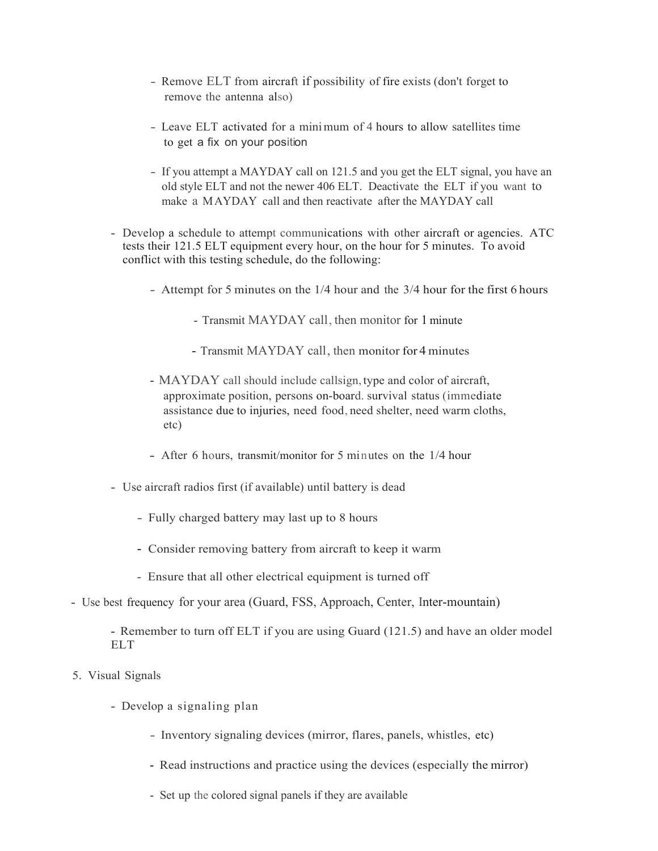- Remove ELT from aircraft if possibility of fire exists (don't forget to remove the antenna also)
- Leave ELT activated for a minimum of 4 hours to allow satellites time to get a fix on your position
- If you attempt a MAYDAY call on 121.5 and you get the ELT signal, you have an old style ELT and not the newer 406 ELT. Deactivate the ELT if you want to make a MAYDAY call and then reactivate after the MAYDAY call
- Develop a schedule to attempt communications with other aircraft or agencies. ATC tests their 121.5 ELT equipment every hour, on the hour for 5 minutes. To avoid conflict with this testing schedule, do the following:
	- Attempt for 5 minutes on the 1/4 hour and the 3/4 hour for the first 6 hours
		- Transmit MAYDAY call, then monitor for 1 minute
		- Transmit MAYDAY call, then monitor for 4 minutes
	- MAYDAY call should include callsign, type and color of aircraft, approximate position, persons on-board. survival status (immediate assistance due to injuries, need food, need shelter, need warm cloths, etc)
	- After 6 hours, transmit/monitor for 5 minutes on the 1/4 hour
- Use aircraft radios first (if available) until battery is dead
	- Fully charged battery may last up to 8 hours
	- Consider removing battery from aircraft to keep it warm
	- Ensure that all other electrical equipment is turned off
- Use best frequency for your area (Guard, FSS, Approach, Center, Inter-mountain)
	- Remember to turn off ELT if you are using Guard (121.5) and have an older model ELT
- 5. Visual Signals
	- Develop a signaling plan
		- Inventory signaling devices (mirror, flares, panels, whistles, etc)
		- Read instructions and practice using the devices (especially the mirror)
		- Set up the colored signal panels if they are available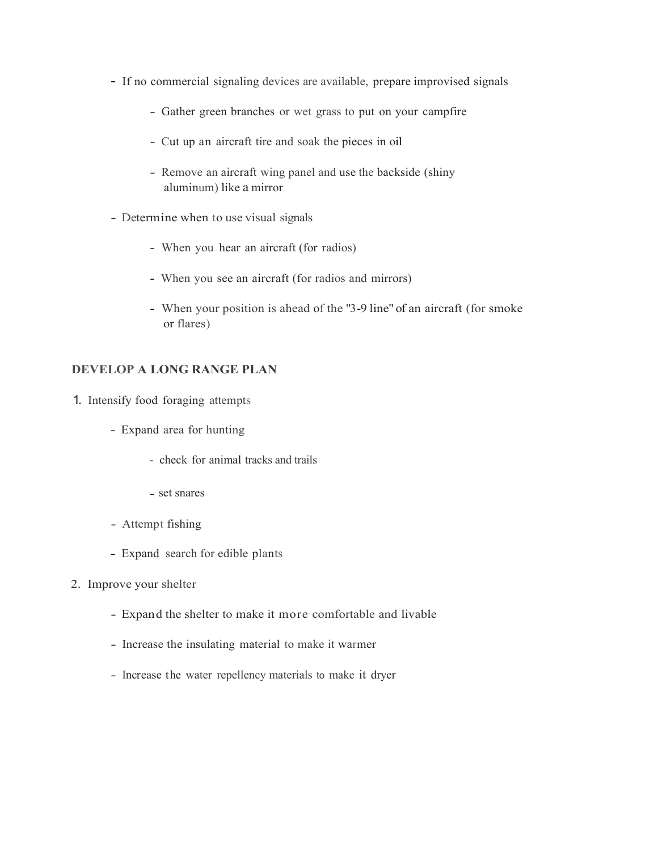- If no commercial signaling devices are available, prepare improvised signals
	- Gather green branches or wet grass to put on your campfire
	- Cut up an aircraft tire and soak the pieces in oil
	- Remove an aircraft wing panel and use the backside (shiny aluminum) like a mirror
- Determine when to use visual signals
	- When you hear an aircraft (for radios)
	- When you see an aircraft (for radios and mirrors)
	- When your position is ahead of the "3-9 line" of an aircraft (for smoke or flares)

#### **DEVELOP A LONG RANGE PLAN**

- 1. Intensify food foraging attempts
	- Expand area for hunting
		- check for animal tracks and trails
		- set snares
	- Attempt fishing
	- Expand search for edible plants
- 2. Improve your shelter
	- Expand the shelter to make it more comfortable and livable
	- Increase the insulating material to make it warmer
	- Increase the water repellency materials to make it dryer